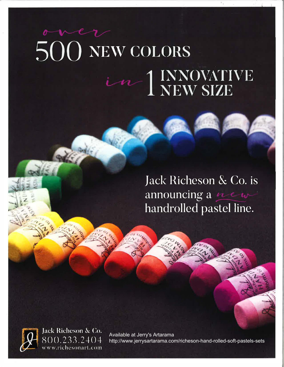# 500 NEW COLORS in 1 INNOVATIVE

Jack Richeson & Co. is announcing a new handrolled pastel line.



Jack Richeson & Co. 800.233.2404 www.richesonart.com

Available at Jerry's Artarama http://www.jerrysartarama.com/richeson-hand-rolled-soft-pastels-sets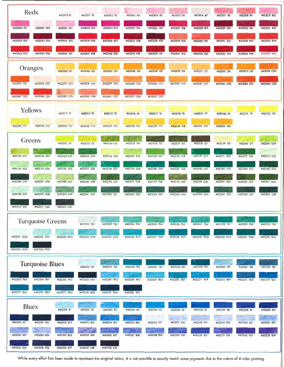| Reds                         | #422010 R1   | #422011 R2   | #422012 R3   | #422013 R4     | #422014 R5   | #422015 R6                          | #422016 R7                  | #422017 R8                                  | #422018 R9                       | #422019 R10      |
|------------------------------|--------------|--------------|--------------|----------------|--------------|-------------------------------------|-----------------------------|---------------------------------------------|----------------------------------|------------------|
| #422020 R11<br>#422021 R12   | #422022 R13  | #422023 R14  | #422024 RIS  | #422025 R16    | #422026 R17  | #422027 R18                         | #422028 R19                 | #422029 R20                                 | #422030 R21                      | #422031 R22      |
| #422032 R23<br>#422033 R24   | #422034 R25  | #422035 R26  | #422036 R27  | #422037 R28    | #422038 R29  | #422039 R30                         | #422040 R31                 | #422041 R32                                 | #422042 R33                      | #422043 R34      |
| #422044 R35<br>#422045 R36   | #422046 R37  | #422047 R38  | #422048 R39  | #422049 R40    | #422050 R41  | #422051 R42                         | #422052 R43                 | #422053 R44                                 | #422054 R45                      | #422055 R46      |
| Oranges                      | #422065 OI   | #422066 O2   | #422067 O3   | #422068 O4     | #422069 O5   | #422070 O6                          | #422071 O7                  | #422072 08                                  | #422073 09                       | #422074 O10      |
| #422075 O11<br>#422076 O12   | #422077 O13  | #422078 O14  | #422079 O15  | #422080 O16    | #422081 O17  | #422082 O18                         | #422083 O19                 | #422084 020                                 | #422085 021                      | #422086 022      |
| #422087 O23<br>#422088 O24   | #422089 025  | #422090 O26  | #422091 027  | #422092 O28    | #422093 O29  |                                     |                             |                                             |                                  |                  |
| <b>Yellows</b>               | #422113 Y1   | #422114 Y2   | #422115 Y3   | #422116 Y4     | #422117 Y5   | #422118 Y6                          | #422119 Y7                  | #422120 Y8                                  | #422121 Y9                       | #422122 Y10      |
| #422123 Y11<br>#422124 Y12   | #422125 Y13  | #422126 Y14  | #422127 Y15  | #422128 Y16    | #422129 Y17  | #422130 Y18                         | #422131 Y19                 | #422132 Y20                                 |                                  |                  |
| Greens                       | #422152 G1   | #422153 G2   | #422154 G3   | #422155 G4     | #422156 G5   | #422157 G6                          | #422158 G7                  | #422159 GB                                  | #422160 G9                       | #422161 G10      |
| #422162 G11<br>#422163 G12   | #422164 G13  | #422165 G14  | #422166 G15  | #422167 G16    | #422168 G17  | #422169 G18                         | #422170 G19                 | #422171 G20                                 | #422172 G21                      | #422173 G22      |
| #422174 G23<br>#422175 G24   | #422176 G25  | #422177 G26  | #422178 G27  | #422179 G28    | #422180 G29  | #422181 G30                         | #422182 G31                 | #422183 G32                                 | #422184 G33                      | z<br>#422185 G34 |
| #422186 G35<br>#422187 G36   | #422188 G37  | #422189 G38  | #422190 G39  | #422191 G40    | #422192 G41  | <b>FORMS</b><br>#422193 G42         | #422194 G43                 | #422195 G44                                 | #422196 G45                      | #422197 G46      |
| #422198 G47<br>#422199 G4B   | #422200 G49  | #422201 G50  | #422202 G51  | #422203 G52    | #422204 G53  | #422205 G54                         | #422206 G55                 | #422207 G56                                 | #42220B G57                      | #422209 G58      |
| #422210 G59<br>#422211 G60   | #422212 G61  |              |              |                |              |                                     |                             |                                             |                                  |                  |
| <b>Turquoise Greens</b>      |              | #422222 TG1  | #422223 TG2  | #422224 TG3    | #422225 TG4  | #422226 TG5                         | #422227 TG6                 | #422228 TG7                                 | #422229 TGB                      | #422230 TG9      |
| #422231 TG10<br>#422232 TG11 | #422233 TG12 | #422234 TG13 | #422235 TG14 | #422236 TG15 - | #422237 TG16 | #422238 TG17                        | #422239 TG18                | #422240 TG19                                | #422241 TG20                     | #422242 TG21     |
| #422243 TG22<br>#422244 TG23 |              |              |              |                |              |                                     |                             |                                             |                                  |                  |
| <b>Turquoise Blues</b>       |              | #422254 TBI  | #422255 TB2  | #422256 TB3    | #422257 TB4  | #422258 TB5                         | #422259 TB6                 | #422260 TB7                                 | œ<br>#422261 TB8                 | #422262 TB9      |
| #422263 TB10<br>#422264 TB11 | #422265 TB12 | #422266 TB13 | #422267 TB14 | #422268 TB15   | #422269 TB16 | #422270 TB17                        | #422271 TB18                | #422272 TB19                                | #422273 TB20                     | #422274 TB21     |
| #422275 TB22<br>#422276 TB23 | #422277 TB24 | #422278 TB25 | #422279 TB26 | #422280 TB27   |              |                                     |                             |                                             |                                  |                  |
| <b>Blues</b>                 | #422300 B1   | #422301 82   | #422302 B3   | #422303 B4     | #422304 B5   | #422305 B6                          | #422306 B7                  | #422307 B8                                  | #422308 B9                       | #422309 B10      |
| #422310 B11<br>#422311 812   | #422312 BI3  | #422313 B14  | #422314 BIS  | #422315 B16    | #422316 B17  | 12561<br><b>CALL</b><br>#422317 B18 | $-6.5 - 2.0$<br>#422318 B19 | <b>INST</b><br><b>SAFETY</b><br>#422319 B20 | $\partial \theta$<br>#422320 B21 | #422321 822      |
| #422322 B23<br>#422323 824   | #422324 B25  | #422325 B26  | #422326 827  | #422327 B28    | #422328 B29  | #422329 B30                         | #422330 B31                 | #422331 B32                                 | #422332 B33                      | #422333 834      |
| #422335 836<br>#422334 835   | #422336 B37  | #422337 B38  | #422338 B39  |                |              |                                     |                             |                                             |                                  |                  |

While every effort has been made to represent the original colors, it is not possible to exactly match some pigments due to the nature of 4-color printing.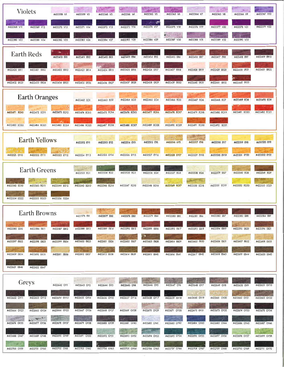| <b>Violets</b><br>#422358 V1                                                                                             | #422360 V3<br>#422359 V2            | #422361 V4<br>#422362 V5                                                        | #422364 V7<br>#422363 V6                                            | <b>Book</b><br>#422365 V8<br>#422366 V9     | #422367 V10  |
|--------------------------------------------------------------------------------------------------------------------------|-------------------------------------|---------------------------------------------------------------------------------|---------------------------------------------------------------------|---------------------------------------------|--------------|
| #422370 V13<br>#422368 V11<br>#422369 V12                                                                                | #422372 V15<br>#422371 V14          | س<br>#422373 V16<br>#422374 V17                                                 | #422376 V19<br>#422375 V18                                          | #422378 V21<br>#422377 V20                  | #422379 V22  |
| #422382 V25<br>#422380 V23<br>#422381 V24                                                                                | #422383 V26<br>#422384 V27          | #422385 V28<br>#422386 V29                                                      | $\mathbb{M}$ , $\frac{1}{\sqrt{n}}$ ,<br>#422387 V30<br>#422388 V31 | #422389 V32<br>#422390 V33                  |              |
| <b>Earth Reds</b><br>#422410 ER1                                                                                         | #422411 ER2<br>#422412 ER3          | #422414 ER5<br>#422413 ER4                                                      | #422415 ER6<br>#422416 ER7                                          | #422418 ER9<br>#422417 ER8                  | #422419 ER10 |
| #422420 ER11<br>#422421 ER12<br>#422422 ER13                                                                             | #422423 ER14<br>#422424 ER15        | #422425 ER16<br>#422426 ER17                                                    | #422427 ER18<br>#422428 ER19                                        | #422429 ER20<br>#422430 ER21                | #422431 ER22 |
| #422433 ER24<br>#422434 ER25<br>#422432 ER23                                                                             | #422436 ER27<br>#422435 ER26        | #422437 ER28<br>#422438 ER29                                                    | #422439 ER30<br>#422440 ER31                                        | #422441 ER32<br>#422442 ER33                |              |
| <b>Earth Oranges</b>                                                                                                     | #422462 EOI<br>#422463 EO2          | #422464 EO3<br>#422465 EO4                                                      | #422466 EO5<br>#422467 EO6                                          | #422469 EO8<br>#422468 EO7                  | #422470 EO9  |
| #422473 EO12<br>#422471 EO10<br>#422472 EO11                                                                             | #422474 EO13<br>#422475 EO14        | #422476 EOIS<br>#422477 EO16                                                    | #422478 EO17<br>#422479 EO18                                        | #422481 EO20<br>#422480 EO19                | #422482 EO21 |
| #422484 EO23<br>#422485 EO24<br>#422483 EO22                                                                             | #422487 EO26<br>#422486 EO25        | #422489 EO28<br>#422488 EO27                                                    | $155 - 25$<br>#422491 EO30<br>#422490 EO29                          | #422492 EO31                                |              |
| <b>Earth Yellows</b>                                                                                                     | #422512 EY1<br>#422513 EY2          | #422514 EY3<br>#422515 EY4                                                      | 試験会<br><b>ANDR</b><br>#422516 EY5<br>#422517 EY6                    | #422519 EY8<br>#422518 EY7                  | #422520 EY9  |
| #422521 EY10<br>#422522 EY11<br>#422523 EY12                                                                             | #422524 EY13<br>#422525 EY14        | #422526 EY15<br>#422527 EY16                                                    | #422528 EY17<br>#422529 EY18                                        | #422531 EY20<br>#422530 EY19                | #422532 EY21 |
| <b>Earth Greens</b>                                                                                                      | #422533 EG1<br>#422534 EG2          | #422536 EG4<br>#422535 EG3                                                      | #422537 EG5<br>#422538 EG6                                          | #422540 EG8<br>#422539 EG7                  | #422541 EG9  |
| 山桥市<br>#422542 EG10<br>#422543 EG11<br>#422544 EG12                                                                      | #422545 EG13<br>#422546 EG14        | #422547 EG15<br>#422548 EG16                                                    | (Built)<br>न्छ<br>#422550 EG18<br>#422549 EG17                      | #422552 EG20<br>#422551 EG19                | #422553 EG21 |
| #422554 EG22<br>#422555 EG23<br>#422556 EG24                                                                             |                                     |                                                                                 |                                                                     |                                             |              |
| <b>Earth Browns</b>                                                                                                      | #422576 EB1<br>#422577 EB2          | #422579 EB4<br>#422578 EB3                                                      | #4225B1 EB6<br>#422580 EB5                                          | #422582 EB7<br>#422583 EBB                  | #422584 EB9  |
| #422586 EB11<br>#422587 EB12<br>#422585 EBIO                                                                             | #422589 EB14<br>#422588 EB13        | #422590 EB15<br>#422591 EB16                                                    | #422592 EB17<br>#422593 EB18                                        | #422595 EB20<br>#422594 EB19                | #422596 EB21 |
| #422598 EB23<br>#422599 EB24<br>#422597 EB22                                                                             | #422600 EB25<br>#422601 EB26        | #422603 EB28<br>#422602 EB27                                                    | #422604 EB29<br>#422605 EB30                                        | #422606 EB31<br>#422607 EB32                | #422608 EB33 |
| #422609 EB34<br>#422610 EB35<br>#422611 EB36                                                                             | #422613 EB3B<br>#422612 EB37        | #422614 EB39<br>#422615 EB40                                                    | #422617 EB42<br>#422616 EB41                                        | #422618 EB43<br>#422619 EB44                | #422620 EB45 |
| #422621 EB46<br>#422622 EB47                                                                                             |                                     |                                                                                 |                                                                     |                                             |              |
| Greys<br>#422642 GY1                                                                                                     | $-11$<br>#422643 GY2<br>#422644 GY3 | #422646 GY5<br>#422645 GY4                                                      | #422648 GY7<br>#422647 GY6                                          | #422649 GY8<br>#422650 GY9                  | #422651 GY10 |
| #422654 GY13<br>#422652 GY11<br>#422653 GY12                                                                             | #422655 GY14<br>#422656 GY15        | #422657 GY16<br>#422658 GY17                                                    | #422659 GY18<br>#422660 GY19                                        | $S^*T^{-1}$<br>#422661 GY20<br>#422662 GY21 | #422663 GY22 |
| #422666 GY25<br>#422664 GY23<br>#422665 GY24                                                                             | #422667 GY26<br>#422668 GY27        | #422669 GY28<br>#422670 GY29                                                    | #422671 GY30<br>#422672 GY31                                        | #422673 GY32<br>#422674 GY33                | #422675 GY34 |
| <b>CARL CARD CARD</b><br>Mix Perries .<br>#422677 GY36<br>#422678 GY37<br>#422676 GY35                                   | #422679 GY38<br>#422680 GY39        | <b>Uting Co</b><br>#422681 GY40<br>#422682 GY4T<br><b>ASSESS</b><br><b>ALLE</b> | #422683 GY42<br>#422684 GY43                                        | #422686 GY45<br>#422685 GY44                | #422687 GY46 |
| #422689 GY48<br>#422690 GY49<br>#422688 GY47<br>$\label{eq:2.1} \frac{\partial}{\partial x}=\frac{\partial}{\partial x}$ | #422691 GY50<br>#422692 GY51        | #422693 GY52<br>#422694 GY53                                                    | #422695 GY54<br>#422696 GY55                                        | #422697 GY56<br>#422698 GY57                | #422699 GY58 |
| #422700 GY59<br>#422701 GY60<br>#422702 GY61                                                                             | #422704 GY63<br>#422703 GY62        | #422705 GY64<br>#422706 GY65                                                    | #422708 GY67<br>#422707 GY66                                        | #422709 GY68<br>#422710 GY69                | #422711 GY70 |